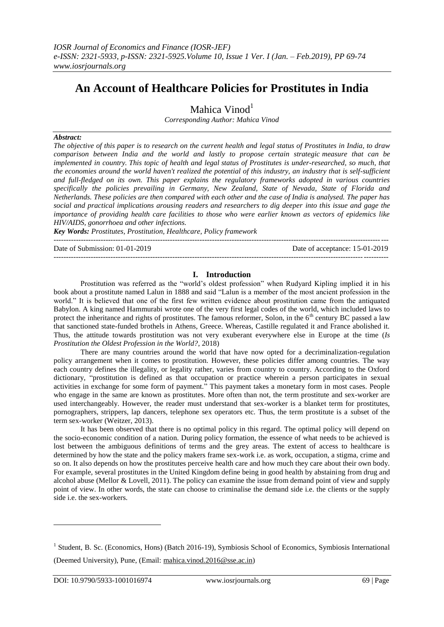# **An Account of Healthcare Policies for Prostitutes in India**

Mahica Vinod<sup>1</sup>

*Corresponding Author: Mahica Vinod*

# *Abstract:*

*The objective of this paper is to research on the current health and legal status of Prostitutes in India, to draw comparison between India and the world and lastly to propose certain strategic measure that can be implemented in country. This topic of health and legal status of Prostitutes is under-researched, so much, that the economies around the world haven't realized the potential of this industry, an industry that is self-sufficient and full-fledged on its own. This paper explains the regulatory frameworks adopted in various countries specifically the policies prevailing in Germany, New Zealand, State of Nevada, State of Florida and Netherlands. These policies are then compared with each other and the case of India is analysed. The paper has social and practical implications arousing readers and researchers to dig deeper into this issue and gage the importance of providing health care facilities to those who were earlier known as vectors of epidemics like HIV/AIDS, gonorrhoea and other infections.*

*Key Words: Prostitutes, Prostitution, Healthcare, Policy framework* ---------------------------------------------------------------------------------------------------------------------------------------

---------------------------------------------------------------------------------------------------------------------------------------

Date of Submission: 01-01-2019 Date of acceptance: 15-01-2019

# **I. Introduction**

Prostitution was referred as the "world's oldest profession" when Rudyard Kipling implied it in his book about a prostitute named Lalun in 1888 and said "Lalun is a member of the most ancient profession in the world." It is believed that one of the first few written evidence about prostitution came from the antiquated Babylon. A king named Hammurabi wrote one of the very first legal codes of the world, which included laws to protect the inheritance and rights of prostitutes. The famous reformer, Solon, in the 6<sup>th</sup> century BC passed a law that sanctioned state-funded brothels in Athens, Greece. Whereas, Castille regulated it and France abolished it. Thus, the attitude towards prostitution was not very exuberant everywhere else in Europe at the time (*Is Prostitution the Oldest Profession in the World?*, 2018)

There are many countries around the world that have now opted for a decriminalization-regulation policy arrangement when it comes to prostitution. However, these policies differ among countries. The way each country defines the illegality, or legality rather, varies from country to country. According to the Oxford dictionary, "prostitution is defined as that occupation or practice wherein a person participates in sexual activities in exchange for some form of payment." This payment takes a monetary form in most cases. People who engage in the same are known as prostitutes. More often than not, the term prostitute and sex-worker are used interchangeably. However, the reader must understand that sex-worker is a blanket term for prostitutes, pornographers, strippers, lap dancers, telephone sex operators etc. Thus, the term prostitute is a subset of the term sex-worker (Weitzer, 2013).

It has been observed that there is no optimal policy in this regard. The optimal policy will depend on the socio-economic condition of a nation. During policy formation, the essence of what needs to be achieved is lost between the ambiguous definitions of terms and the grey areas. The extent of access to healthcare is determined by how the state and the policy makers frame sex-work i.e. as work, occupation, a stigma, crime and so on. It also depends on how the prostitutes perceive health care and how much they care about their own body. For example, several prostitutes in the United Kingdom define being in good health by abstaining from drug and alcohol abuse (Mellor & Lovell, 2011). The policy can examine the issue from demand point of view and supply point of view. In other words, the state can choose to criminalise the demand side i.e. the clients or the supply side i.e. the sex-workers.

1

<sup>&</sup>lt;sup>1</sup> Student, B. Sc. (Economics, Hons) (Batch 2016-19), Symbiosis School of Economics, Symbiosis International (Deemed University), Pune, (Email: [mahica.vinod.2016@sse.ac.in\)](mailto:mahica.vinod.2016@sse.ac.in)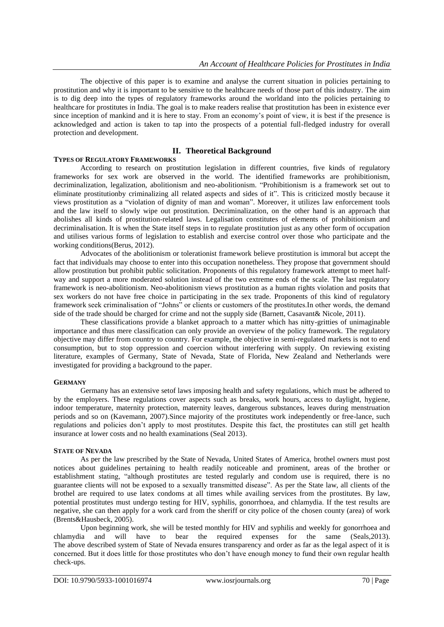The objective of this paper is to examine and analyse the current situation in policies pertaining to prostitution and why it is important to be sensitive to the healthcare needs of those part of this industry. The aim is to dig deep into the types of regulatory frameworks around the worldand into the policies pertaining to healthcare for prostitutes in India. The goal is to make readers realise that prostitution has been in existence ever since inception of mankind and it is here to stay. From an economy's point of view, it is best if the presence is acknowledged and action is taken to tap into the prospects of a potential full-fledged industry for overall protection and development.

# **II. Theoretical Background**

# **TYPES OF REGULATORY FRAMEWORKS**

According to research on prostitution legislation in different countries, five kinds of regulatory frameworks for sex work are observed in the world. The identified frameworks are prohibitionism, decriminalization, legalization, abolitionism and neo-abolitionism. "Prohibitionism is a framework set out to eliminate prostitutionby criminalizing all related aspects and sides of it". This is criticized mostly because it views prostitution as a "violation of dignity of man and woman". Moreover, it utilizes law enforcement tools and the law itself to slowly wipe out prostitution. Decriminalization, on the other hand is an approach that abolishes all kinds of prostitution-related laws. Legalisation constitutes of elements of prohibitionism and decriminalisation. It is when the State itself steps in to regulate prostitution just as any other form of occupation and utilises various forms of legislation to establish and exercise control over those who participate and the working conditions(Berus, 2012).

Advocates of the abolitionism or tolerationist framework believe prostitution is immoral but accept the fact that individuals may choose to enter into this occupation nonetheless. They propose that government should allow prostitution but prohibit public solicitation. Proponents of this regulatory framework attempt to meet halfway and support a more moderated solution instead of the two extreme ends of the scale. The last regulatory framework is neo-abolitionism. Neo-abolitionism views prostitution as a human rights violation and posits that sex workers do not have free choice in participating in the sex trade. Proponents of this kind of regulatory framework seek criminalisation of "Johns" or clients or customers of the prostitutes.In other words, the demand side of the trade should be charged for crime and not the supply side (Barnett, Casavant& Nicole, 2011).

These classifications provide a blanket approach to a matter which has nitty-gritties of unimaginable importance and thus mere classification can only provide an overview of the policy framework. The regulatory objective may differ from country to country. For example, the objective in semi-regulated markets is not to end consumption, but to stop oppression and coercion without interfering with supply. On reviewing existing literature, examples of Germany, State of Nevada, State of Florida, New Zealand and Netherlands were investigated for providing a background to the paper.

### **GERMANY**

Germany has an extensive setof laws imposing health and safety regulations, which must be adhered to by the employers. These regulations cover aspects such as breaks, work hours, access to daylight, hygiene, indoor temperature, maternity protection, maternity leaves, dangerous substances, leaves during menstruation periods and so on (Kavemann, 2007).Since majority of the prostitutes work independently or free-lance, such regulations and policies don't apply to most prostitutes. Despite this fact, the prostitutes can still get health insurance at lower costs and no health examinations (Seal 2013).

### **STATE OF NEVADA**

As per the law prescribed by the State of Nevada, United States of America, brothel owners must post notices about guidelines pertaining to health readily noticeable and prominent, areas of the brother or establishment stating, "although prostitutes are tested regularly and condom use is required, there is no guarantee clients will not be exposed to a sexually transmitted disease". As per the State law, all clients of the brothel are required to use latex condoms at all times while availing services from the prostitutes. By law, potential prostitutes must undergo testing for HIV, syphilis, gonorrhoea, and chlamydia. If the test results are negative, she can then apply for a work card from the sheriff or city police of the chosen county (area) of work (Brents&Hausbeck, 2005).

Upon beginning work, she will be tested monthly for HIV and syphilis and weekly for gonorrhoea and chlamydia and will have to bear the required expenses for the same (Seals,2013). The above described system of State of Nevada ensures transparency and order as far as the legal aspect of it is concerned. But it does little for those prostitutes who don't have enough money to fund their own regular health check-ups.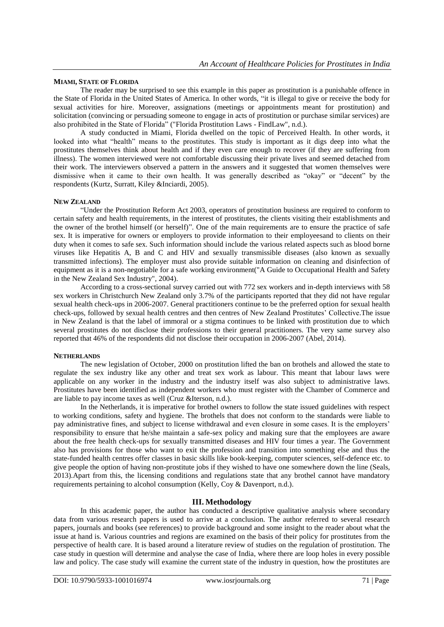#### **MIAMI, STATE OF FLORIDA**

The reader may be surprised to see this example in this paper as prostitution is a punishable offence in the State of Florida in the United States of America. In other words, "it is illegal to give or receive the body for sexual activities for hire. Moreover, assignations (meetings or appointments meant for prostitution) and solicitation (convincing or persuading someone to engage in acts of prostitution or purchase similar services) are also prohibited in the State of Florida" ("Florida Prostitution Laws - FindLaw", n.d.).

A study conducted in Miami, Florida dwelled on the topic of Perceived Health. In other words, it looked into what "health" means to the prostitutes. This study is important as it digs deep into what the prostitutes themselves think about health and if they even care enough to recover (if they are suffering from illness). The women interviewed were not comfortable discussing their private lives and seemed detached from their work. The interviewers observed a pattern in the answers and it suggested that women themselves were dismissive when it came to their own health. It was generally described as "okay" or "decent" by the respondents (Kurtz, Surratt, Kiley &Inciardi, 2005).

#### **NEW ZEALAND**

"Under the Prostitution Reform Act 2003, operators of prostitution business are required to conform to certain safety and health requirements, in the interest of prostitutes, the clients visiting their establishments and the owner of the brothel himself (or herself)". One of the main requirements are to ensure the practice of safe sex. It is imperative for owners or employers to provide information to their employeesand to clients on their duty when it comes to safe sex. Such information should include the various related aspects such as blood borne viruses like Hepatitis A, B and C and HIV and sexually transmissible diseases (also known as sexually transmitted infections). The employer must also provide suitable information on cleaning and disinfection of equipment as it is a non-negotiable for a safe working environment("A Guide to Occupational Health and Safety in the New Zealand Sex Industry", 2004).

According to a cross-sectional survey carried out with 772 sex workers and in-depth interviews with 58 sex workers in Christchurch New Zealand only 3.7% of the participants reported that they did not have regular sexual health check-ups in 2006-2007. General practitioners continue to be the preferred option for sexual health check-ups, followed by sexual health centres and then centres of New Zealand Prostitutes' Collective.The issue in New Zealand is that the label of immoral or a stigma continues to be linked with prostitution due to which several prostitutes do not disclose their professions to their general practitioners. The very same survey also reported that 46% of the respondents did not disclose their occupation in 2006-2007 (Abel, 2014).

#### **NETHERLANDS**

The new legislation of October, 2000 on prostitution lifted the ban on brothels and allowed the state to regulate the sex industry like any other and treat sex work as labour. This meant that labour laws were applicable on any worker in the industry and the industry itself was also subject to administrative laws. Prostitutes have been identified as independent workers who must register with the Chamber of Commerce and are liable to pay income taxes as well (Cruz &Iterson, n.d.).

In the Netherlands, it is imperative for brothel owners to follow the state issued guidelines with respect to working conditions, safety and hygiene. The brothels that does not conform to the standards were liable to pay administrative fines, and subject to license withdrawal and even closure in some cases. It is the employers' responsibility to ensure that he/she maintain a safe-sex policy and making sure that the employees are aware about the free health check-ups for sexually transmitted diseases and HIV four times a year. The Government also has provisions for those who want to exit the profession and transition into something else and thus the state-funded health centres offer classes in basic skills like book-keeping, computer sciences, self-defence etc. to give people the option of having non-prostitute jobs if they wished to have one somewhere down the line (Seals, 2013).Apart from this, the licensing conditions and regulations state that any brothel cannot have mandatory requirements pertaining to alcohol consumption (Kelly, Coy & Davenport, n.d.).

### **III. Methodology**

In this academic paper, the author has conducted a descriptive qualitative analysis where secondary data from various research papers is used to arrive at a conclusion. The author referred to several research papers, journals and books (see references) to provide background and some insight to the reader about what the issue at hand is. Various countries and regions are examined on the basis of their policy for prostitutes from the perspective of health care. It is based around a literature review of studies on the regulation of prostitution. The case study in question will determine and analyse the case of India, where there are loop holes in every possible law and policy. The case study will examine the current state of the industry in question, how the prostitutes are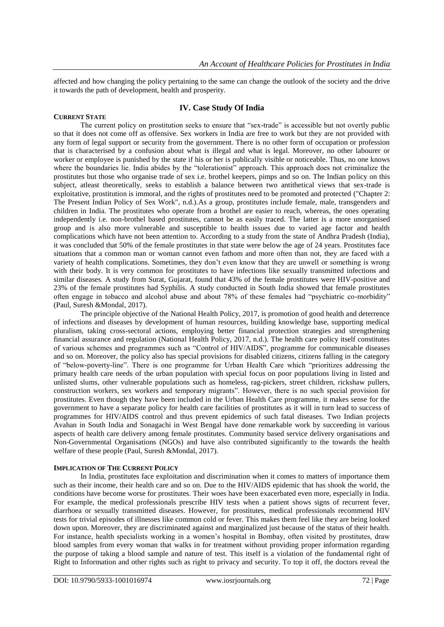affected and how changing the policy pertaining to the same can change the outlook of the society and the drive it towards the path of development, health and prosperity.

# **IV. Case Study Of India**

### **CURRENT STATE**

The current policy on prostitution seeks to ensure that "sex-trade" is accessible but not overtly public so that it does not come off as offensive. Sex workers in India are free to work but they are not provided with any form of legal support or security from the government. There is no other form of occupation or profession that is characterised by a confusion about what is illegal and what is legal. Moreover, no other labourer or worker or employee is punished by the state if his or her is publically visible or noticeable. Thus, no one knows where the boundaries lie. India abides by the "tolerationist" approach. This approach does not criminalize the prostitutes but those who organise trade of sex i.e. brothel keepers, pimps and so on. The Indian policy on this subject, atleast theoretically, seeks to establish a balance between two antithetical views that sex-trade is exploitative, prostitution is immoral, and the rights of prostitutes need to be promoted and protected ("Chapter 2: The Present Indian Policy of Sex Work", n.d.).As a group, prostitutes include female, male, transgenders and children in India. The prostitutes who operate from a brothel are easier to reach, whereas, the ones operating independently i.e. non-brothel based prostitutes, cannot be as easily traced. The latter is a more unorganised group and is also more vulnerable and susceptible to health issues due to varied age factor and health complications which have not been attention to. According to a study from the state of Andhra Pradesh (India), it was concluded that 50% of the female prostitutes in that state were below the age of 24 years. Prostitutes face situations that a common man or woman cannot even fathom and more often than not, they are faced with a variety of health complications. Sometimes, they don't even know that they are unwell or something is wrong with their body. It is very common for prostitutes to have infections like sexually transmitted infections and similar diseases. A study from Surat, Gujarat, found that 43% of the female prostitutes were HIV-positive and 23% of the female prostitutes had Syphilis. A study conducted in South India showed that female prostitutes often engage in tobacco and alcohol abuse and about 78% of these females had "psychiatric co-morbidity" (Paul, Suresh &Mondal, 2017).

The principle objective of the National Health Policy, 2017, is promotion of good health and deterrence of infections and diseases by development of human resources, building knowledge base, supporting medical pluralism, taking cross-sectoral actions, employing better financial protection strategies and strengthening financial assurance and regulation (National Health Policy, 2017, n.d.). The health care policy itself constitutes of various schemes and programmes such as "Control of HIV/AIDS", programme for communicable diseases and so on. Moreover, the policy also has special provisions for disabled citizens, citizens falling in the category of "below-poverty-line". There is one programme for Urban Health Care which "prioritizes addressing the primary health care needs of the urban population with special focus on poor populations living in listed and unlisted slums, other vulnerable populations such as homeless, rag-pickers, street children, rickshaw pullers, construction workers, sex workers and temporary migrants". However, there is no such special provision for prostitutes. Even though they have been included in the Urban Health Care programme, it makes sense for the government to have a separate policy for health care facilities of prostitutes as it will in turn lead to success of programmes for HIV/AIDS control and thus prevent epidemics of such fatal diseases. Two Indian projects Avahan in South India and Sonagachi in West Bengal have done remarkable work by succeeding in various aspects of health care delivery among female prostitutes. Community based service delivery organisations and Non-Governmental Organisations (NGOs) and have also contributed significantly to the towards the health welfare of these people (Paul, Suresh &Mondal, 2017).

# **IMPLICATION OF THE CURRENT POLICY**

In India, prostitutes face exploitation and discrimination when it comes to matters of importance them such as their income, their health care and so on. Due to the HIV/AIDS epidemic that has shook the world, the conditions have become worse for prostitutes. Their woes have been exacerbated even more, especially in India. For example, the medical professionals prescribe HIV tests when a patient shows signs of recurrent fever, diarrhoea or sexually transmitted diseases. However, for prostitutes, medical professionals recommend HIV tests for trivial episodes of illnesses like common cold or fever. This makes them feel like they are being looked down upon. Moreover, they are discriminated against and marginalized just because of the status of their health. For instance, health specialists working in a women's hospital in Bombay, often visited by prostitutes, draw blood samples from every woman that walks in for treatment without providing proper information regarding the purpose of taking a blood sample and nature of test. This itself is a violation of the fundamental right of Right to Information and other rights such as right to privacy and security. To top it off, the doctors reveal the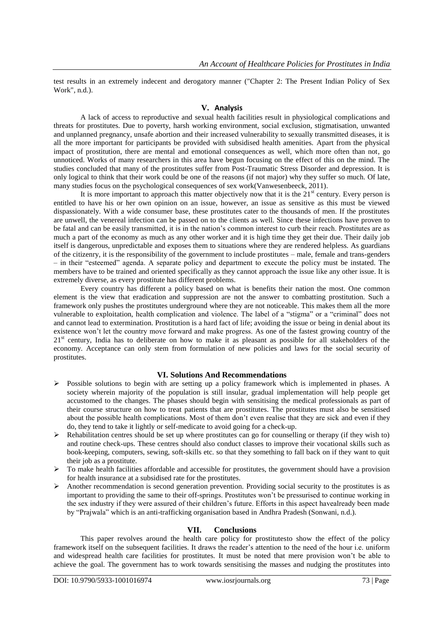test results in an extremely indecent and derogatory manner ("Chapter 2: The Present Indian Policy of Sex Work", n.d.).

### **V. Analysis**

A lack of access to reproductive and sexual health facilities result in physiological complications and threats for prostitutes. Due to poverty, harsh working environment, social exclusion, stigmatisation, unwanted and unplanned pregnancy, unsafe abortion and their increased vulnerability to sexually transmitted diseases, it is all the more important for participants be provided with subsidised health amenities. Apart from the physical impact of prostitution, there are mental and emotional consequences as well, which more often than not, go unnoticed. Works of many researchers in this area have begun focusing on the effect of this on the mind. The studies concluded that many of the prostitutes suffer from Post-Traumatic Stress Disorder and depression. It is only logical to think that their work could be one of the reasons (if not major) why they suffer so much. Of late, many studies focus on the psychological consequences of sex work(Vanwesenbeeck, 2011).

It is more important to approach this matter objectively now that it is the  $21<sup>st</sup>$  century. Every person is entitled to have his or her own opinion on an issue, however, an issue as sensitive as this must be viewed dispassionately. With a wide consumer base, these prostitutes cater to the thousands of men. If the prostitutes are unwell, the venereal infection can be passed on to the clients as well. Since these infections have proven to be fatal and can be easily transmitted, it is in the nation's common interest to curb their reach. Prostitutes are as much a part of the economy as much as any other worker and it is high time they get their due. Their daily job itself is dangerous, unpredictable and exposes them to situations where they are rendered helpless. As guardians of the citizenry, it is the responsibility of the government to include prostitutes – male, female and trans-genders – in their "esteemed" agenda. A separate policy and department to execute the policy must be instated. The members have to be trained and oriented specifically as they cannot approach the issue like any other issue. It is extremely diverse, as every prostitute has different problems.

Every country has different a policy based on what is benefits their nation the most. One common element is the view that eradication and suppression are not the answer to combatting prostitution. Such a framework only pushes the prostitutes underground where they are not noticeable. This makes them all the more vulnerable to exploitation, health complication and violence. The label of a "stigma" or a "criminal" does not and cannot lead to extermination. Prostitution is a hard fact of life; avoiding the issue or being in denial about its existence won't let the country move forward and make progress. As one of the fastest growing country of the  $21<sup>st</sup>$  century, India has to deliberate on how to make it as pleasant as possible for all stakeholders of the economy. Acceptance can only stem from formulation of new policies and laws for the social security of prostitutes.

### **VI. Solutions And Recommendations**

- $\triangleright$  Possible solutions to begin with are setting up a policy framework which is implemented in phases. A society wherein majority of the population is still insular, gradual implementation will help people get accustomed to the changes. The phases should begin with sensitising the medical professionals as part of their course structure on how to treat patients that are prostitutes. The prostitutes must also be sensitised about the possible health complications. Most of them don't even realise that they are sick and even if they do, they tend to take it lightly or self-medicate to avoid going for a check-up.
- Rehabilitation centres should be set up where prostitutes can go for counselling or therapy (if they wish to) and routine check-ups. These centres should also conduct classes to improve their vocational skills such as book-keeping, computers, sewing, soft-skills etc. so that they something to fall back on if they want to quit their job as a prostitute.
- $\triangleright$  To make health facilities affordable and accessible for prostitutes, the government should have a provision for health insurance at a subsidised rate for the prostitutes.
- Another recommendation is second generation prevention. Providing social security to the prostitutes is as important to providing the same to their off-springs. Prostitutes won't be pressurised to continue working in the sex industry if they were assured of their children's future. Efforts in this aspect havealready been made by "Prajwala" which is an anti-trafficking organisation based in Andhra Pradesh (Sonwani, n.d.).

# **VII. Conclusions**

This paper revolves around the health care policy for prostitutesto show the effect of the policy framework itself on the subsequent facilities. It draws the reader's attention to the need of the hour i.e. uniform and widespread health care facilities for prostitutes. It must be noted that mere provision won't be able to achieve the goal. The government has to work towards sensitising the masses and nudging the prostitutes into